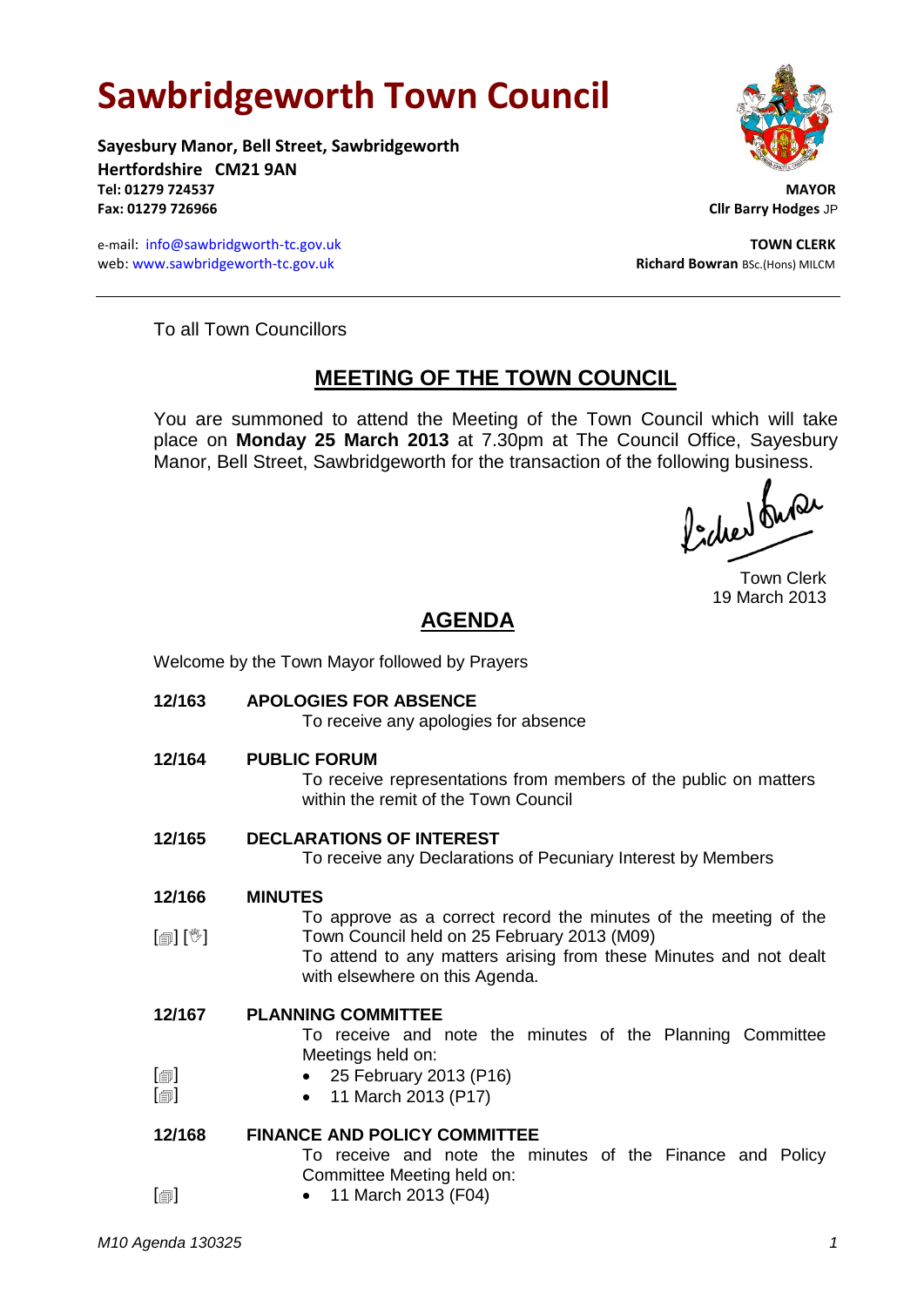# **Sawbridgeworth Town Council**

**Sayesbury Manor, Bell Street, Sawbridgeworth Hertfordshire CM21 9AN Tel: 01279 724537 MAYOR Fax: 01279 726966 Cllr Barry Hodges** JP

e-mail: [info@sawbridgworth-tc.gov.uk](mailto:info@sawbridgworth-tc.gov.uk) **TOWN CLERK** web: www.sawbridgeworth-tc.gov.uk **Richard Bowran** BSc.(Hons) MILCM



To all Town Councillors

## **MEETING OF THE TOWN COUNCIL**

You are summoned to attend the Meeting of the Town Council which will take place on **Monday 25 March 2013** at 7.30pm at The Council Office, Sayesbury Manor, Bell Street, Sawbridgeworth for the transaction of the following business.

fidee buse

Town Clerk 19 March 2013

# **AGENDA**

Welcome by the Town Mayor followed by Prayers

**12/163 APOLOGIES FOR ABSENCE**

To receive any apologies for absence **12/164 PUBLIC FORUM** To receive representations from members of the public on matters within the remit of the Town Council **12/165 DECLARATIONS OF INTEREST** To receive any Declarations of Pecuniary Interest by Members **12/166** [創] [V] **MINUTES** To approve as a correct record the minutes of the meeting of the Town Council held on 25 February 2013 (M09) To attend to any matters arising from these Minutes and not dealt with elsewhere on this Agenda. **12/167**  $[\blacksquare]$  $\Box$ **PLANNING COMMITTEE** To receive and note the minutes of the Planning Committee Meetings held on: 25 February 2013 (P16) 11 March 2013 (P17) **12/168**  $\Box$ **FINANCE AND POLICY COMMITTEE** To receive and note the minutes of the Finance and Policy Committee Meeting held on: • 11 March 2013 (F04)